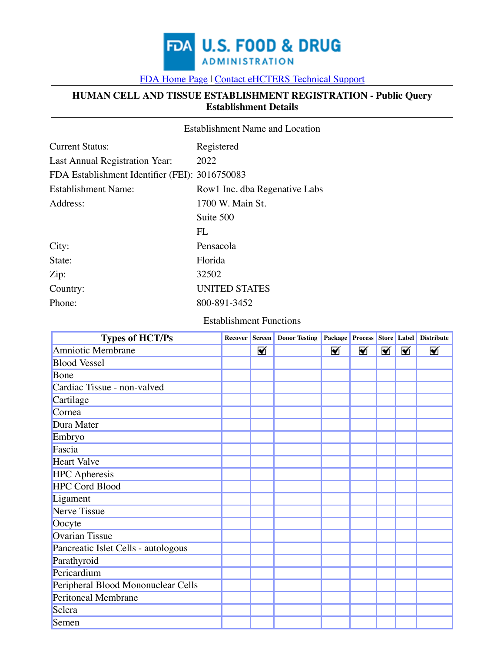

[FDA Home Page](https://www.fda.gov/default.htm) [|](https://www.fda.gov/) [Contact eHCTERS Technical Support](javascript:void(0);)

### **HUMAN CELL AND TISSUE ESTABLISHMENT REGISTRATION - Public Query Establishment Details**

|                                                | <b>Establishment Name and Location</b> |
|------------------------------------------------|----------------------------------------|
| <b>Current Status:</b>                         | Registered                             |
| Last Annual Registration Year:                 | 2022                                   |
| FDA Establishment Identifier (FEI): 3016750083 |                                        |
| Establishment Name:                            | Rowl Inc. dba Regenative Labs          |
| Address:                                       | 1700 W. Main St.                       |
|                                                | Suite 500                              |
|                                                | FL                                     |
| City:                                          | Pensacola                              |
| State:                                         | Florida                                |
| Zip:                                           | 32502                                  |
| Country:                                       | <b>UNITED STATES</b>                   |
| Phone:                                         | 800-891-3452                           |
|                                                |                                        |

#### Establishment Functions

| <b>Types of HCT/Ps</b>              |   | <b>Recover Screen Donor Testing</b> |   |   |   |   | Package Process Store Label Distribute |
|-------------------------------------|---|-------------------------------------|---|---|---|---|----------------------------------------|
| Amniotic Membrane                   | ⊠ |                                     | ☑ | ⊠ | ☑ | ⊠ | ⊠                                      |
| <b>Blood Vessel</b>                 |   |                                     |   |   |   |   |                                        |
| Bone                                |   |                                     |   |   |   |   |                                        |
| Cardiac Tissue - non-valved         |   |                                     |   |   |   |   |                                        |
| Cartilage                           |   |                                     |   |   |   |   |                                        |
| Cornea                              |   |                                     |   |   |   |   |                                        |
| Dura Mater                          |   |                                     |   |   |   |   |                                        |
| Embryo                              |   |                                     |   |   |   |   |                                        |
| Fascia                              |   |                                     |   |   |   |   |                                        |
| <b>Heart Valve</b>                  |   |                                     |   |   |   |   |                                        |
| <b>HPC</b> Apheresis                |   |                                     |   |   |   |   |                                        |
| <b>HPC Cord Blood</b>               |   |                                     |   |   |   |   |                                        |
| Ligament                            |   |                                     |   |   |   |   |                                        |
| Nerve Tissue                        |   |                                     |   |   |   |   |                                        |
| Oocyte                              |   |                                     |   |   |   |   |                                        |
| <b>Ovarian Tissue</b>               |   |                                     |   |   |   |   |                                        |
| Pancreatic Islet Cells - autologous |   |                                     |   |   |   |   |                                        |
| Parathyroid                         |   |                                     |   |   |   |   |                                        |
| Pericardium                         |   |                                     |   |   |   |   |                                        |
| Peripheral Blood Mononuclear Cells  |   |                                     |   |   |   |   |                                        |
| <b>Peritoneal Membrane</b>          |   |                                     |   |   |   |   |                                        |
| Sclera                              |   |                                     |   |   |   |   |                                        |
| Semen                               |   |                                     |   |   |   |   |                                        |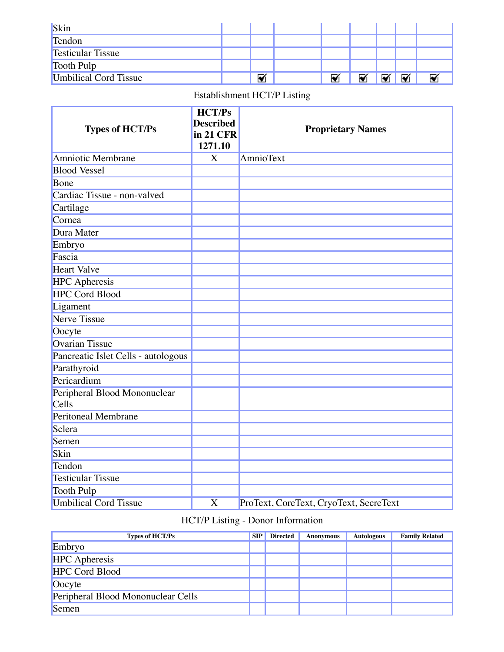| Skin                         |   |   |   |   |  |
|------------------------------|---|---|---|---|--|
| Tendon                       |   |   |   |   |  |
| <b>Testicular Tissue</b>     |   |   |   |   |  |
| Tooth Pulp                   |   |   |   |   |  |
| <b>Umbilical Cord Tissue</b> | ⊽ | ⊡ | Ø | М |  |

# Establishment HCT/P Listing

| <b>Types of HCT/Ps</b>                | <b>HCT/Ps</b><br><b>Described</b><br>in 21 CFR<br>1271.10 | <b>Proprietary Names</b>               |
|---------------------------------------|-----------------------------------------------------------|----------------------------------------|
| Amniotic Membrane                     | X                                                         | AmnioText                              |
| <b>Blood Vessel</b>                   |                                                           |                                        |
| Bone                                  |                                                           |                                        |
| Cardiac Tissue - non-valved           |                                                           |                                        |
| Cartilage                             |                                                           |                                        |
| Cornea                                |                                                           |                                        |
| Dura Mater                            |                                                           |                                        |
| Embryo                                |                                                           |                                        |
| Fascia                                |                                                           |                                        |
| <b>Heart Valve</b>                    |                                                           |                                        |
| <b>HPC</b> Apheresis                  |                                                           |                                        |
| <b>HPC Cord Blood</b>                 |                                                           |                                        |
| Ligament                              |                                                           |                                        |
| <b>Nerve Tissue</b>                   |                                                           |                                        |
| Oocyte                                |                                                           |                                        |
| <b>Ovarian Tissue</b>                 |                                                           |                                        |
| Pancreatic Islet Cells - autologous   |                                                           |                                        |
| Parathyroid                           |                                                           |                                        |
| Pericardium                           |                                                           |                                        |
| Peripheral Blood Mononuclear<br>Cells |                                                           |                                        |
| <b>Peritoneal Membrane</b>            |                                                           |                                        |
| Sclera                                |                                                           |                                        |
| Semen                                 |                                                           |                                        |
| Skin                                  |                                                           |                                        |
| Tendon                                |                                                           |                                        |
| <b>Testicular Tissue</b>              |                                                           |                                        |
| Tooth Pulp                            |                                                           |                                        |
| <b>Umbilical Cord Tissue</b>          | X                                                         | ProText, CoreText, CryoText, SecreText |

## HCT/P Listing - Donor Information

| <b>Types of HCT/Ps</b>             | <b>SIP</b> | <b>Directed</b> | <b>Anonymous</b> | <b>Autologous</b> | <b>Family Related</b> |
|------------------------------------|------------|-----------------|------------------|-------------------|-----------------------|
| Embryo                             |            |                 |                  |                   |                       |
| <b>HPC</b> Apheresis               |            |                 |                  |                   |                       |
| <b>HPC Cord Blood</b>              |            |                 |                  |                   |                       |
| Oocyte                             |            |                 |                  |                   |                       |
| Peripheral Blood Mononuclear Cells |            |                 |                  |                   |                       |
| Semen                              |            |                 |                  |                   |                       |